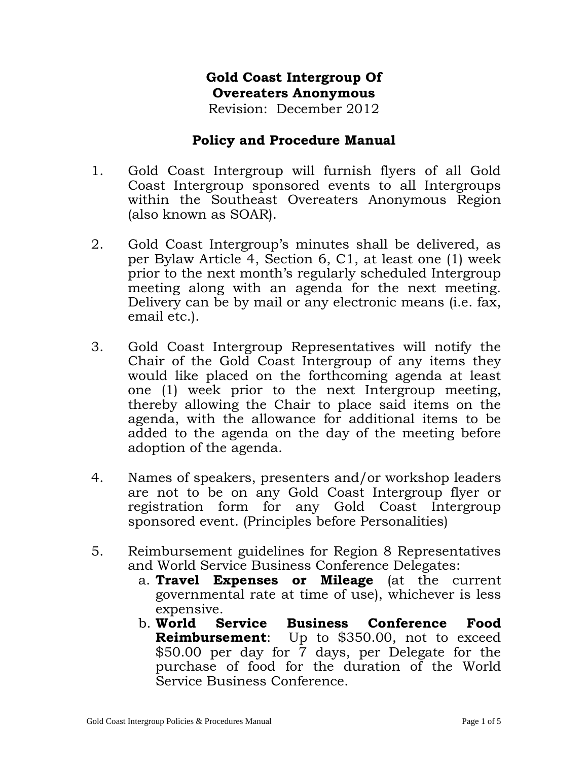# **Gold Coast Intergroup Of Overeaters Anonymous**

Revision: December 2012

# **Policy and Procedure Manual**

- 1. Gold Coast Intergroup will furnish flyers of all Gold Coast Intergroup sponsored events to all Intergroups within the Southeast Overeaters Anonymous Region (also known as SOAR).
- 2. Gold Coast Intergroup's minutes shall be delivered, as per Bylaw Article 4, Section 6, C1, at least one (1) week prior to the next month's regularly scheduled Intergroup meeting along with an agenda for the next meeting. Delivery can be by mail or any electronic means (i.e. fax, email etc.).
- 3. Gold Coast Intergroup Representatives will notify the Chair of the Gold Coast Intergroup of any items they would like placed on the forthcoming agenda at least one (1) week prior to the next Intergroup meeting, thereby allowing the Chair to place said items on the agenda, with the allowance for additional items to be added to the agenda on the day of the meeting before adoption of the agenda.
- 4. Names of speakers, presenters and/or workshop leaders are not to be on any Gold Coast Intergroup flyer or registration form for any Gold Coast Intergroup sponsored event. (Principles before Personalities)
- 5. Reimbursement guidelines for Region 8 Representatives and World Service Business Conference Delegates:
	- a. **Travel Expenses or Mileage** (at the current governmental rate at time of use), whichever is less expensive.
	- b. **World Service Business Conference Food Reimbursement**: Up to \$350.00, not to exceed \$50.00 per day for 7 days, per Delegate for the purchase of food for the duration of the World Service Business Conference.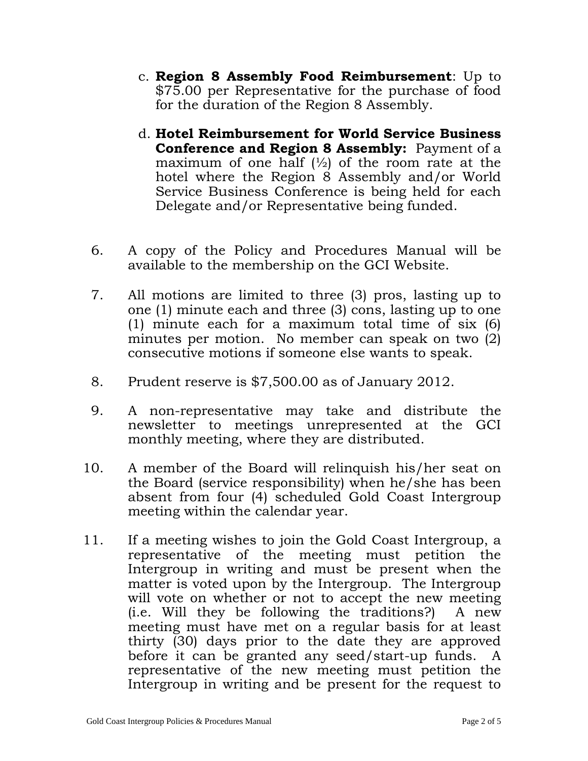- c. **Region 8 Assembly Food Reimbursement**: Up to \$75.00 per Representative for the purchase of food for the duration of the Region 8 Assembly.
- d. **Hotel Reimbursement for World Service Business Conference and Region 8 Assembly:** Payment of a maximum of one half  $\left(\frac{1}{2}\right)$  of the room rate at the hotel where the Region 8 Assembly and/or World Service Business Conference is being held for each Delegate and/or Representative being funded.
- 6. A copy of the Policy and Procedures Manual will be available to the membership on the GCI Website.
- 7. All motions are limited to three (3) pros, lasting up to one (1) minute each and three (3) cons, lasting up to one (1) minute each for a maximum total time of six (6) minutes per motion. No member can speak on two (2) consecutive motions if someone else wants to speak.
- 8. Prudent reserve is \$7,500.00 as of January 2012.
- 9. A non-representative may take and distribute the newsletter to meetings unrepresented at the GCI monthly meeting, where they are distributed.
- 10. A member of the Board will relinquish his/her seat on the Board (service responsibility) when he/she has been absent from four (4) scheduled Gold Coast Intergroup meeting within the calendar year.
- 11. If a meeting wishes to join the Gold Coast Intergroup, a representative of the meeting must petition the Intergroup in writing and must be present when the matter is voted upon by the Intergroup. The Intergroup will vote on whether or not to accept the new meeting (i.e. Will they be following the traditions?) A new meeting must have met on a regular basis for at least thirty (30) days prior to the date they are approved before it can be granted any seed/start-up funds. A representative of the new meeting must petition the Intergroup in writing and be present for the request to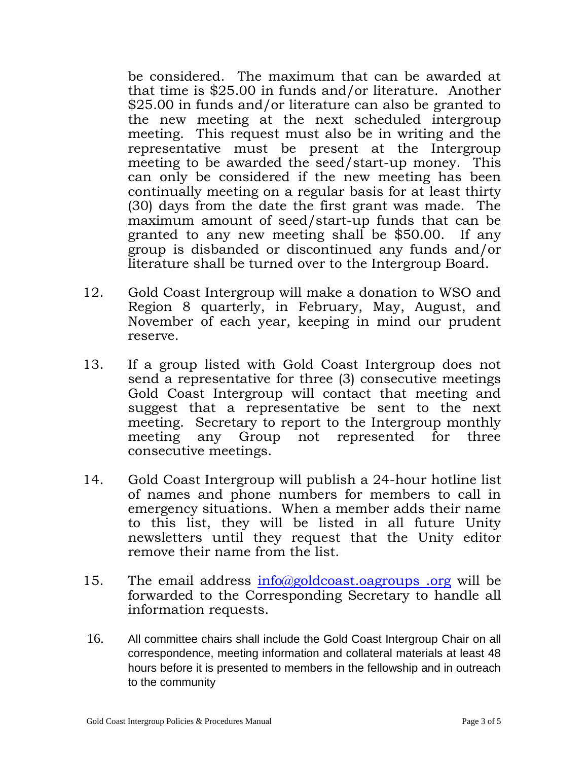be considered. The maximum that can be awarded at that time is \$25.00 in funds and/or literature. Another \$25.00 in funds and/or literature can also be granted to the new meeting at the next scheduled intergroup meeting. This request must also be in writing and the representative must be present at the Intergroup meeting to be awarded the seed/start-up money. This can only be considered if the new meeting has been continually meeting on a regular basis for at least thirty (30) days from the date the first grant was made. The maximum amount of seed/start-up funds that can be granted to any new meeting shall be \$50.00. If any group is disbanded or discontinued any funds and/or literature shall be turned over to the Intergroup Board.

- 12. Gold Coast Intergroup will make a donation to WSO and Region 8 quarterly, in February, May, August, and November of each year, keeping in mind our prudent reserve.
- 13. If a group listed with Gold Coast Intergroup does not send a representative for three (3) consecutive meetings Gold Coast Intergroup will contact that meeting and suggest that a representative be sent to the next meeting. Secretary to report to the Intergroup monthly meeting any Group not represented for three consecutive meetings.
- 14. Gold Coast Intergroup will publish a 24-hour hotline list of names and phone numbers for members to call in emergency situations. When a member adds their name to this list, they will be listed in all future Unity newsletters until they request that the Unity editor remove their name from the list.
- 15. The email address [info@goldcoast.oagroups .org](mailto:info@goldcoast.oagroups%20.org) will be forwarded to the Corresponding Secretary to handle all information requests.
- 16. All committee chairs shall include the Gold Coast Intergroup Chair on all correspondence, meeting information and collateral materials at least 48 hours before it is presented to members in the fellowship and in outreach to the community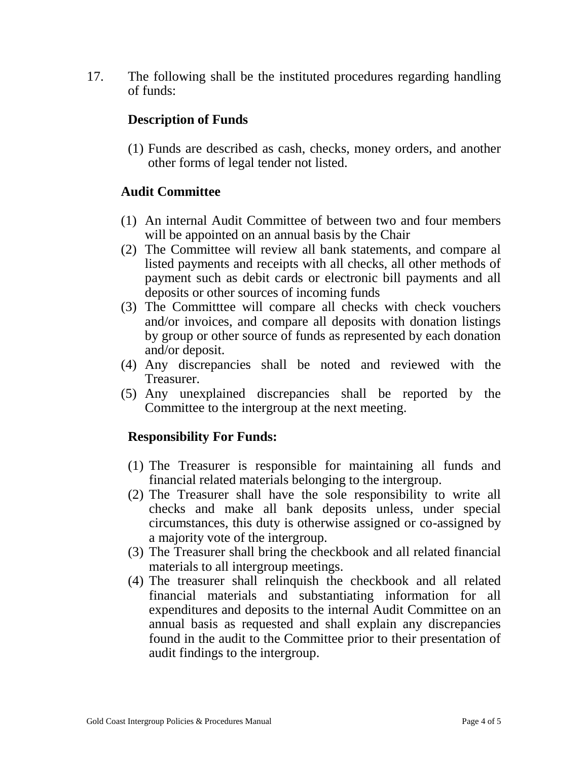17. The following shall be the instituted procedures regarding handling of funds:

## **Description of Funds**

(1) Funds are described as cash, checks, money orders, and another other forms of legal tender not listed.

#### **Audit Committee**

- (1) An internal Audit Committee of between two and four members will be appointed on an annual basis by the Chair
- (2) The Committee will review all bank statements, and compare al listed payments and receipts with all checks, all other methods of payment such as debit cards or electronic bill payments and all deposits or other sources of incoming funds
- (3) The Committtee will compare all checks with check vouchers and/or invoices, and compare all deposits with donation listings by group or other source of funds as represented by each donation and/or deposit.
- (4) Any discrepancies shall be noted and reviewed with the Treasurer.
- (5) Any unexplained discrepancies shall be reported by the Committee to the intergroup at the next meeting.

#### **Responsibility For Funds:**

- (1) The Treasurer is responsible for maintaining all funds and financial related materials belonging to the intergroup.
- (2) The Treasurer shall have the sole responsibility to write all checks and make all bank deposits unless, under special circumstances, this duty is otherwise assigned or co-assigned by a majority vote of the intergroup.
- (3) The Treasurer shall bring the checkbook and all related financial materials to all intergroup meetings.
- (4) The treasurer shall relinquish the checkbook and all related financial materials and substantiating information for all expenditures and deposits to the internal Audit Committee on an annual basis as requested and shall explain any discrepancies found in the audit to the Committee prior to their presentation of audit findings to the intergroup.